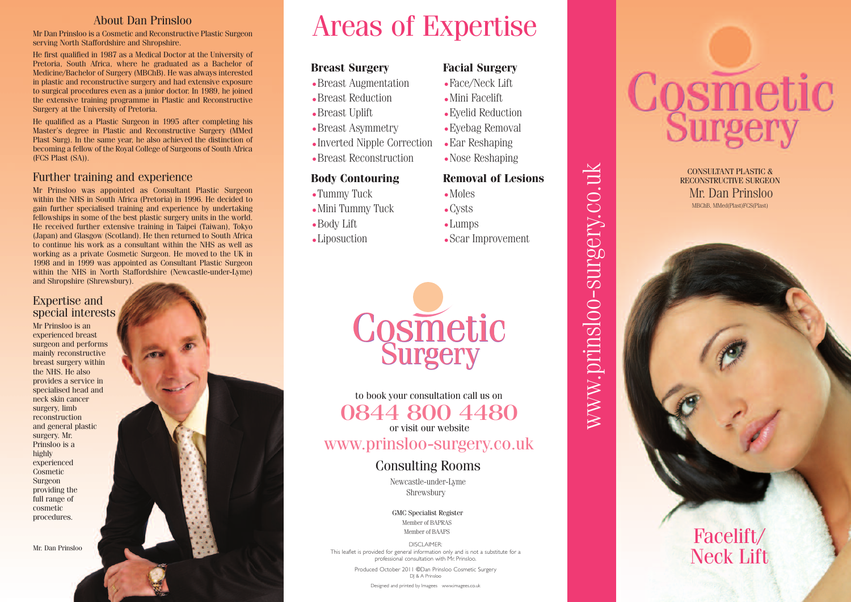#### About Dan Prinsloo

Mr Dan Prinsloo is a Cosmetic and Reconstructive Plastic Surgeon serving North Staffordshire and Shropshire.

He first qualified in 1987 as a Medical Doctor at the University of Pretoria, South Africa, where he graduated as a Bachelor of Medicine/Bachelor of Surgery (MBChB). He was always interested in plastic and reconstructive surgery and had extensive exposure to surgical procedures even as a junior doctor. In 1989, he joined the extensive training programme in Plastic and Reconstructive Surgery at the University of Pretoria.

He qualified as a Plastic Surgeon in 1995 after completing his Master's degree in Plastic and Reconstructive Surgery (MMed Plast Surg). In the same year, he also achieved the distinction of becoming a fellow of the Royal College of Surgeons of South Africa (FCS Plast (SA)).

#### Further training and experience

Mr Prinsloo was appointed as Consultant Plastic Surgeon within the NHS in South Africa (Pretoria) in 1996. He decided to gain further specialised training and experience by undertaking fellowships in some of the best plastic surgery units in the world. He received further extensive training in Taipei (Taiwan), Tokyo (Japan) and Glasgow (Scotland). He then returned to South Africa to continue his work as a consultant within the NHS as well as working as a private Cosmetic Surgeon. He moved to the UK in 1998 and in 1999 was appointed as Consultant Plastic Surgeon within the NHS in North Staffordshire (Newcastle-under-Lyme) and Shropshire (Shrewsbury).

#### Expertise and special interests

Mr Prinsloo is an experienced breast surgeon and performs mainly reconstructive breast surgery within the NHS. He also provides a service in specialised head and neck skin cancer surgery, limb reconstruction and general plastic surgery. Mr. Prinsloo is a highly experienced Cosmetic Surgeon providing the full range of cosmetic procedures.

Mr. Dan Prinsloo

# Areas of Expertise

#### **Breast Surgery**

- Breast Augmentation
- Breast Reduction
- Breast Uplift
- Breast Asymmetry
- Inverted Nipple Correction
- Breast Reconstruction

#### **Body** Contouring

- Tummy Tuck
- Mini Tummy Tuck
- Body Lift

i l

• Liposuction

#### **Facial Surgery**

- $\bullet$  Face/Neck Lift
- Mini Facelift
- Eyelid Reduction
- Eyebag Removal
- Ear Reshaping
- Nose Reshaping

# **Removal of Lesions**

www.prinsloo-surgery.co.uk

www.prinsloo-surgery.co.uk

- Moles • Cysts
- Lumps
- Scar Improvement



to book your consultation call us on 0844 800 4480

or visit our website

www.prinsloo-surgery.co.uk

#### Consulting Rooms

Shrewsbury Newcastle-under-Lyme

GMC Specialist Register Member of BAPRAS Member of BAAPS

DISCLAIMER : This leaflet is provided for general information only and is not a substitute for a i i l i i l i i professional consultation with Mr. Prinsloo i l l i i i l .

> Produced October 2011 ©Dan Prinsloo Cosmetic Surgery i l i DJ & A Prinsloo i l

> > Designed and printed by Imagees www.imagees.co.uk

# Cosmetic

MBChB, MMed(Plast)FCS(Plast) CONSULTANT PLASTIC & RECONSTRUCTIVE SURGEON Mr. Dan Prinsloo

Facelift/

Neck Lift